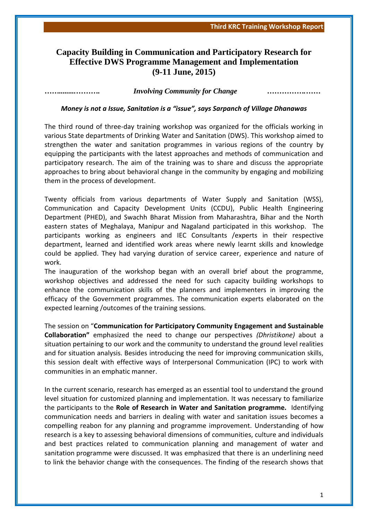## **Capacity Building in Communication and Participatory Research for Effective DWS Programme Management and Implementation (9-11 June, 2015)**

*…….........………. Involving Community for Change …………….……*

*Money is not a Issue, Sanitation is a "issue", says Sarpanch of Village Dhanawas*

The third round of three-day training workshop was organized for the officials working in various State departments of Drinking Water and Sanitation (DWS). This workshop aimed to strengthen the water and sanitation programmes in various regions of the country by equipping the participants with the latest approaches and methods of communication and participatory research. The aim of the training was to share and discuss the appropriate approaches to bring about behavioral change in the community by engaging and mobilizing them in the process of development.

Twenty officials from various departments of Water Supply and Sanitation (WSS), Communication and Capacity Development Units (CCDU), Public Health Engineering Department (PHED), and Swachh Bharat Mission from Maharashtra, Bihar and the North eastern states of Meghalaya, Manipur and Nagaland participated in this workshop. The participants working as engineers and IEC Consultants /experts in their respective department, learned and identified work areas where newly learnt skills and knowledge could be applied. They had varying duration of service career, experience and nature of work.

The inauguration of the workshop began with an overall brief about the programme, workshop objectives and addressed the need for such capacity building workshops to enhance the communication skills of the planners and implementers in improving the efficacy of the Government programmes. The communication experts elaborated on the expected learning /outcomes of the training sessions.

The session on "**Communication for Participatory Community Engagement and Sustainable Collaboration"** emphasized the need to change our perspectives *(Dhristikone)* about a situation pertaining to our work and the community to understand the ground level realities and for situation analysis. Besides introducing the need for improving communication skills, this session dealt with effective ways of Interpersonal Communication (IPC) to work with communities in an emphatic manner.

In the current scenario, research has emerged as an essential tool to understand the ground level situation for customized planning and implementation. It was necessary to familiarize the participants to the **Role of Research in Water and Sanitation programme.** Identifying communication needs and barriers in dealing with water and sanitation issues becomes a compelling reabon for any planning and programme improvement. Understanding of how research is a key to assessing behavioral dimensions of communities, culture and individuals and best practices related to communication planning and management of water and sanitation programme were discussed. It was emphasized that there is an underlining need to link the behavior change with the consequences. The finding of the research shows that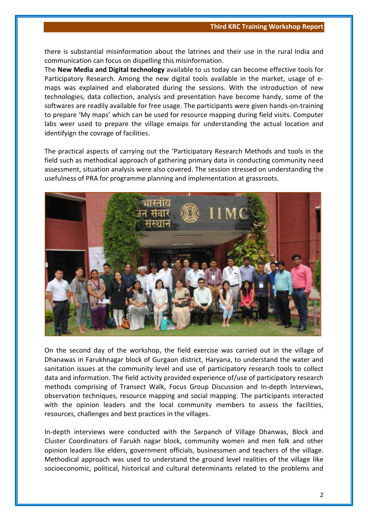there is substantial misinformation about the latrines and their use in the rural India and communication can focus on dispelling this misinformation.

The **New Media and Digital technology** available to us today can become effective tools for Participatory Research. Among the new digital tools available in the market, usage of emaps was explained and elaborated during the sessions. With the introduction of new technologies, data collection, analysis and presentation have become handy, some of the softwares are readily available for free usage. The participants were given hands-on-training to prepare 'My maps' which can be used for resource mapping during field visits. Computer labs weer used to prepare the village emaips for understanding the actual location and identifyign the covrage of facilities.

The practical aspects of carrying out the 'Participatory Research Methods and tools in the field such as methodical approach of gathering primary data in conducting community need assessment, situation analysis were also covered. The session stressed on understanding the usefulness of PRA for programme planning and implementation at grassroots.



On the second day of the workshop, the field exercise was carried out in the village of Dhanawas in Farukhnagar block of Gurgaon district, Haryana, to understand the water and sanitation issues at the community level and use of participatory research tools to collect data and information. The field activity provided experience of/use of participatory research methods comprising of Transect Walk, Focus Group Discussion and In-depth Interviews, observation techniques, resource mapping and social mapping. The participants interacted with the opinion leaders and the local community members to assess the facilities, resources, challenges and best practices in the villages.

In-depth interviews were conducted with the Sarpanch of Village Dhanwas, Block and Cluster Coordinators of Farukh nagar block, community women and men folk and other opinion leaders like elders, government officials, businessmen and teachers of the village. Methodical approach was used to understand the ground level realities of the village like socioeconomic, political, historical and cultural determinants related to the problems and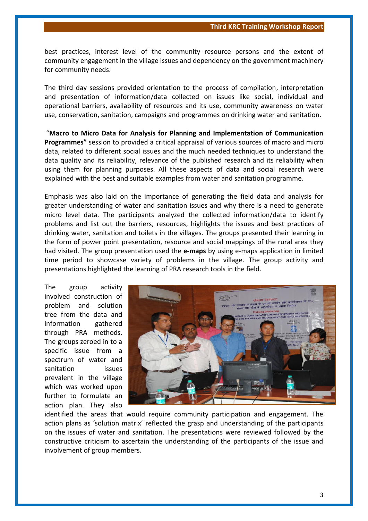best practices, interest level of the community resource persons and the extent of community engagement in the village issues and dependency on the government machinery for community needs.

The third day sessions provided orientation to the process of compilation, interpretation and presentation of information/data collected on issues like social, individual and operational barriers, availability of resources and its use, community awareness on water use, conservation, sanitation, campaigns and programmes on drinking water and sanitation.

"**Macro to Micro Data for Analysis for Planning and Implementation of Communication Programmes"** session to provided a critical appraisal of various sources of macro and micro data, related to different social issues and the much needed techniques to understand the data quality and its reliability, relevance of the published research and its reliability when using them for planning purposes. All these aspects of data and social research were explained with the best and suitable examples from water and sanitation programme.

Emphasis was also laid on the importance of generating the field data and analysis for greater understanding of water and sanitation issues and why there is a need to generate micro level data. The participants analyzed the collected information/data to identify problems and list out the barriers, resources, highlights the issues and best practices of drinking water, sanitation and toilets in the villages. The groups presented their learning in the form of power point presentation, resource and social mappings of the rural area they had visited. The group presentation used the **e-maps** by using e-maps application in limited time period to showcase variety of problems in the village. The group activity and presentations highlighted the learning of PRA research tools in the field.

The group activity involved construction of problem and solution tree from the data and information gathered through PRA methods. The groups zeroed in to a specific issue from a spectrum of water and sanitation issues prevalent in the village which was worked upon further to formulate an action plan. They also



identified the areas that would require community participation and engagement. The action plans as 'solution matrix' reflected the grasp and understanding of the participants on the issues of water and sanitation. The presentations were reviewed followed by the constructive criticism to ascertain the understanding of the participants of the issue and involvement of group members.